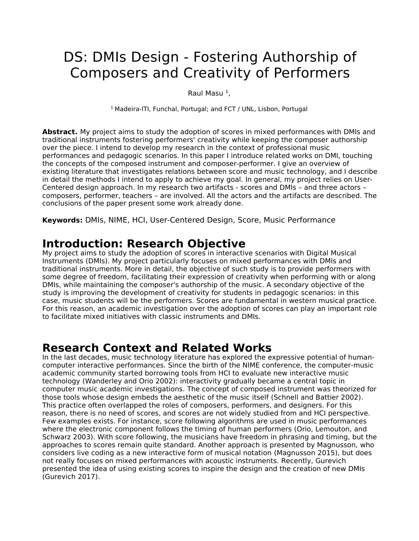# DS: DMIs Design - Fostering Authorship of Composers and Creativity of Performers

Raul Masu <sup>1</sup>,

<sup>1</sup> Madeira-ITI, Funchal, Portugal; and FCT / UNL, Lisbon, Portugal

**Abstract.** My project aims to study the adoption of scores in mixed performances with DMIs and traditional instruments fostering performers' creativity while keeping the composer authorship over the piece. I intend to develop my research in the context of professional music performances and pedagogic scenarios. In this paper I introduce related works on DMI, touching the concepts of the composed instrument and composer-performer. I give an overview of existing literature that investigates relations between score and music technology, and I describe in detail the methods I intend to apply to achieve my goal. In general, my project relies on User-Centered design approach. In my research two artifacts - scores and DMIs – and three actors – composers, performer, teachers – are involved. All the actors and the artifacts are described. The conclusions of the paper present some work already done.

**Keywords:** DMIs, NIME, HCI, User-Centered Design, Score, Music Performance

## **Introduction: Research Objective**

My project aims to study the adoption of scores in interactive scenarios with Digital Musical Instruments (DMIs). My project particularly focuses on mixed performances with DMIs and traditional instruments. More in detail, the objective of such study is to provide performers with some degree of freedom, facilitating their expression of creativity when performing with or along DMIs, while maintaining the composer's authorship of the music. A secondary objective of the study is improving the development of creativity for students in pedagogic scenarios: in this case, music students will be the performers. Scores are fundamental in western musical practice. For this reason, an academic investigation over the adoption of scores can play an important role to facilitate mixed initiatives with classic instruments and DMIs.

### **Research Context and Related Works**

In the last decades, music technology literature has explored the expressive potential of humancomputer interactive performances. Since the birth of the NIME conference, the computer-music academic community started borrowing tools from HCI to evaluate new interactive music technology (Wanderley and Orio 2002): interactivity gradually became a central topic in computer music academic investigations. The concept of composed instrument was theorized for those tools whose design embeds the aesthetic of the music itself (Schnell and Battier 2002). This practice often overlapped the roles of composers, performers, and designers. For this reason, there is no need of scores, and scores are not widely studied from and HCI perspective. Few examples exists. For instance, score following algorithms are used in music performances where the electronic component follows the timing of human performers (Orio, Lemouton, and Schwarz 2003). With score following, the musicians have freedom in phrasing and timing, but the approaches to scores remain quite standard. Another approach is presented by Magnusson, who considers live coding as a new interactive form of musical notation (Magnusson 2015), but does not really focuses on mixed performances with acoustic instruments. Recently, Gurevich presented the idea of using existing scores to inspire the design and the creation of new DMIs (Gurevich 2017).